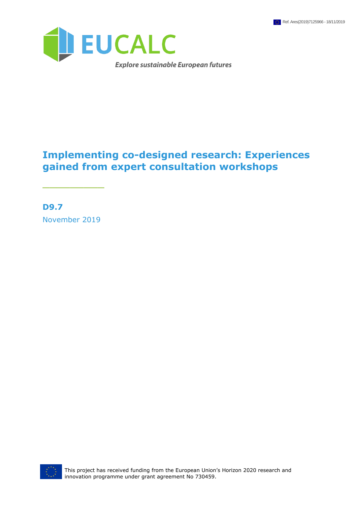

### **Implementing co-designed research: Experiences gained from expert consultation workshops**

**D9.7** November 2019

\_\_\_\_\_\_\_\_\_

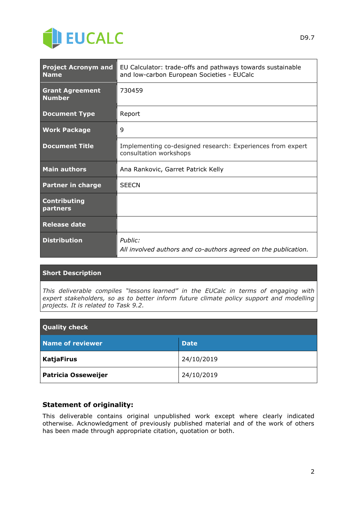

| <b>Project Acronym and</b><br><b>Name</b> | EU Calculator: trade-offs and pathways towards sustainable<br>and Iow-carbon European Societies - EUCalc |  |
|-------------------------------------------|----------------------------------------------------------------------------------------------------------|--|
| <b>Grant Agreement</b><br><b>Number</b>   | 730459                                                                                                   |  |
| <b>Document Type</b>                      | Report                                                                                                   |  |
| <b>Work Package</b>                       | 9                                                                                                        |  |
| <b>Document Title</b>                     | Implementing co-designed research: Experiences from expert<br>consultation workshops                     |  |
| <b>Main authors</b>                       | Ana Rankovic, Garret Patrick Kelly                                                                       |  |
| <b>Partner in charge</b>                  | <b>SEECN</b>                                                                                             |  |
| <b>Contributing</b><br>partners           |                                                                                                          |  |
| <b>Release date</b>                       |                                                                                                          |  |
| <b>Distribution</b>                       | Public:<br>All involved authors and co-authors agreed on the publication.                                |  |

#### **Short Description**

*This deliverable compiles "lessons learned" in the EUCalc in terms of engaging with expert stakeholders, so as to better inform future climate policy support and modelling projects. It is related to Task 9.2.*

| <b>Quality check</b>       |             |  |
|----------------------------|-------------|--|
| <b>Name of reviewer</b>    | <b>Date</b> |  |
| <b>KatjaFirus</b>          | 24/10/2019  |  |
| <b>Patricia Osseweijer</b> | 24/10/2019  |  |

#### **Statement of originality:**

This deliverable contains original unpublished work except where clearly indicated otherwise. Acknowledgment of previously published material and of the work of others has been made through appropriate citation, quotation or both.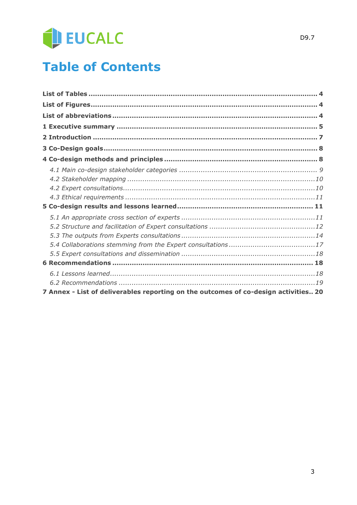# EUCALC

## **Table of Contents**

| 7 Annex - List of deliverables reporting on the outcomes of co-design activities 20 |  |
|-------------------------------------------------------------------------------------|--|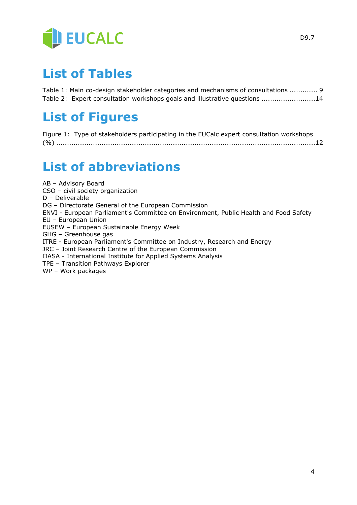

### <span id="page-3-0"></span>**List of Tables**

Table 1: Main co-design stakeholder categories and mechanisms of consultations ............. 9 Table 2: Expert consultation workshops goals and illustrative questions .........................14

### <span id="page-3-1"></span>**List of Figures**

| Figure 1: Type of stakeholders participating in the EUCalc expert consultation workshops |  |
|------------------------------------------------------------------------------------------|--|
|                                                                                          |  |

### <span id="page-3-2"></span>**List of abbreviations**

AB – Advisory Board CSO – civil society organization D – Deliverable DG – Directorate General of the European Commission ENVI - European Parliament's Committee on Environment, Public Health and Food Safety EU – European Union EUSEW – European Sustainable Energy Week GHG – Greenhouse gas ITRE - European Parliament's Committee on Industry, Research and Energy JRC – Joint Research Centre of the European Commission IIASA - International Institute for Applied Systems Analysis TPE – Transition Pathways Explorer WP – Work packages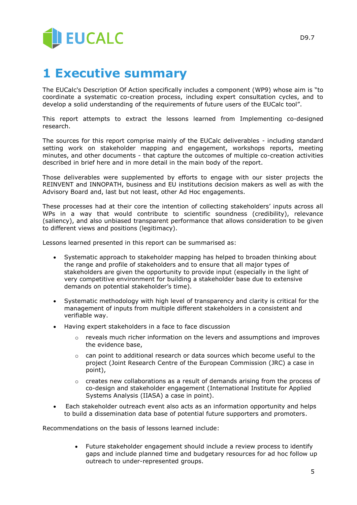

### <span id="page-4-0"></span>**1 Executive summary**

The EUCalc's Description Of Action specifically includes a component (WP9) whose aim is "to coordinate a systematic co-creation process, including expert consultation cycles, and to develop a solid understanding of the requirements of future users of the EUCalc tool".

This report attempts to extract the lessons learned from Implementing co-designed research.

The sources for this report comprise mainly of the EUCalc deliverables - including standard setting work on stakeholder mapping and engagement, workshops reports, meeting minutes, and other documents - that capture the outcomes of multiple co-creation activities described in brief here and in more detail in the main body of the report.

Those deliverables were supplemented by efforts to engage with our sister projects the REINVENT and INNOPATH, business and EU institutions decision makers as well as with the Advisory Board and, last but not least, other Ad Hoc engagements.

These processes had at their core the intention of collecting stakeholders' inputs across all WPs in a way that would contribute to scientific soundness (credibility), relevance (saliency), and also unbiased transparent performance that allows consideration to be given to different views and positions (legitimacy).

Lessons learned presented in this report can be summarised as:

- Systematic approach to stakeholder mapping has helped to broaden thinking about the range and profile of stakeholders and to ensure that all major types of stakeholders are given the opportunity to provide input (especially in the light of very competitive environment for building a stakeholder base due to extensive demands on potential stakeholder's time).
- Systematic methodology with high level of transparency and clarity is critical for the management of inputs from multiple different stakeholders in a consistent and verifiable way.
- Having expert stakeholders in a face to face discussion
	- o reveals much richer information on the levers and assumptions and improves the evidence base,
	- $\circ$  can point to additional research or data sources which become useful to the project (Joint Research Centre of the European Commission (JRC) a case in point),
	- $\circ$  creates new collaborations as a result of demands arising from the process of co-design and stakeholder engagement (International Institute for Applied Systems Analysis (IIASA) a case in point).
- Each stakeholder outreach event also acts as an information opportunity and helps to build a dissemination data base of potential future supporters and promoters.

Recommendations on the basis of lessons learned include:

 Future stakeholder engagement should include a review process to identify gaps and include planned time and budgetary resources for ad hoc follow up outreach to under-represented groups.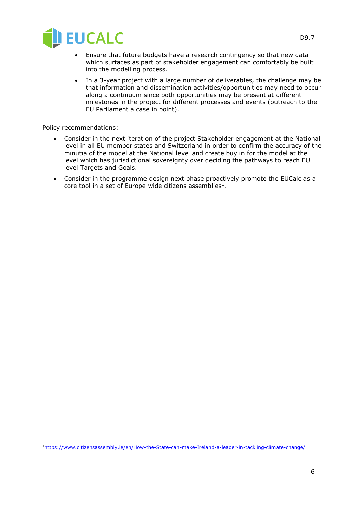

- Ensure that future budgets have a research contingency so that new data which surfaces as part of stakeholder engagement can comfortably be built into the modelling process.
- In a 3-year project with a large number of deliverables, the challenge may be that information and dissemination activities/opportunities may need to occur along a continuum since both opportunities may be present at different milestones in the project for different processes and events (outreach to the EU Parliament a case in point).

Policy recommendations:

 $\overline{a}$ 

- Consider in the next iteration of the project Stakeholder engagement at the National level in all EU member states and Switzerland in order to confirm the accuracy of the minutia of the model at the National level and create buy in for the model at the level which has jurisdictional sovereignty over deciding the pathways to reach EU level Targets and Goals.
- Consider in the programme design next phase proactively promote the EUCalc as a core tool in a set of Europe wide citizens assemblies<sup>1</sup>.

<sup>1</sup><https://www.citizensassembly.ie/en/How-the-State-can-make-Ireland-a-leader-in-tackling-climate-change/>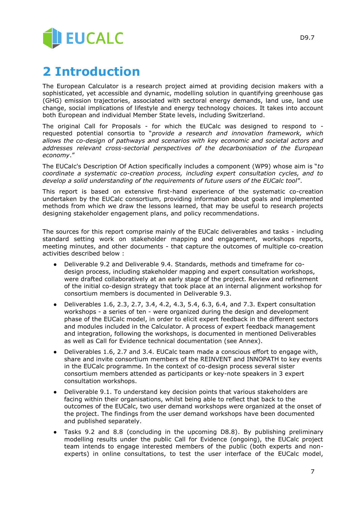

### <span id="page-6-0"></span>**2 Introduction**

The European Calculator is a research project aimed at providing decision makers with a sophisticated, yet accessible and dynamic, modelling solution in quantifying greenhouse gas (GHG) emission trajectories, associated with sectoral energy demands, land use, land use change, social implications of lifestyle and energy technology choices. It takes into account both European and individual Member State levels, including Switzerland.

The original Call for Proposals - for which the EUCalc was designed to respond to requested potential consortia to "*provide a research and innovation framework, which allows the co-design of pathways and scenarios with key economic and societal actors and addresses relevant cross-sectorial perspectives of the decarbonisation of the European economy*."

The EUCalc's Description Of Action specifically includes a component (WP9) whose aim is "*to coordinate a systematic co-creation process, including expert consultation cycles, and to develop a solid understanding of the requirements of future users of the EUCalc tool*".

This report is based on extensive first-hand experience of the systematic co-creation undertaken by the EUCalc consortium, providing information about goals and implemented methods from which we draw the lessons learned, that may be useful to research projects designing stakeholder engagement plans, and policy recommendations.

The sources for this report comprise mainly of the EUCalc deliverables and tasks - including standard setting work on stakeholder mapping and engagement, workshops reports, meeting minutes, and other documents - that capture the outcomes of multiple co-creation activities described below :

- Deliverable 9.2 and Deliverable 9.4. Standards, methods and timeframe for codesign process, including stakeholder mapping and expert consultation workshops, were drafted collaboratively at an early stage of the project. Review and refinement of the initial co-design strategy that took place at an internal alignment workshop for consortium members is documented in Deliverable 9.3.
- Deliverables 1.6, 2.3, 2.7, 3.4, 4.2, 4.3, 5.4, 6.3, 6.4, and 7.3. Expert consultation workshops - a series of ten - were organized during the design and development phase of the EUCalc model, in order to elicit expert feedback in the different sectors and modules included in the Calculator. A process of expert feedback management and integration, following the workshops, is documented in mentioned Deliverables as well as Call for Evidence technical documentation (see Annex).
- Deliverables 1.6, 2.7 and 3.4. EUCalc team made a conscious effort to engage with, share and invite consortium members of the REINVENT and INNOPATH to key events in the EUCalc programme. In the context of co-design process several sister consortium members attended as participants or key-note speakers in 3 expert consultation workshops.
- Deliverable 9.1. To understand key decision points that various stakeholders are facing within their organisations, whilst being able to reflect that back to the outcomes of the EUCalc, two user demand workshops were organized at the onset of the project. The findings from the user demand workshops have been documented and published separately.
- Tasks 9.2 and 8.8 (concluding in the upcoming D8.8). By publishing preliminary modelling results under the public Call for Evidence (ongoing), the EUCalc project team intends to engage interested members of the public (both experts and nonexperts) in online consultations, to test the user interface of the EUCalc model,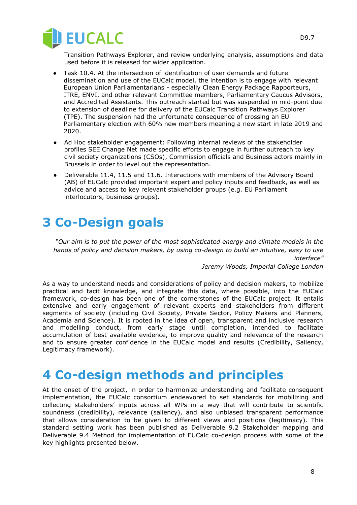

Transition Pathways Explorer, and review underlying analysis, assumptions and data used before it is released for wider application.

- Task 10.4. At the intersection of identification of user demands and future dissemination and use of the EUCalc model, the intention is to engage with relevant European Union Parliamentarians - especially Clean Energy Package Rapporteurs, ITRE, ENVI, and other relevant Committee members, Parliamentary Caucus Advisors, and Accredited Assistants. This outreach started but was suspended in mid-point due to extension of deadline for delivery of the EUCalc Transition Pathways Explorer (TPE). The suspension had the unfortunate consequence of crossing an EU Parliamentary election with 60% new members meaning a new start in late 2019 and 2020.
- Ad Hoc stakeholder engagement: Following internal reviews of the stakeholder profiles SEE Change Net made specific efforts to engage in further outreach to key civil society organizations (CSOs), Commission officials and Business actors mainly in Brussels in order to level out the representation.
- Deliverable 11.4, 11.5 and 11.6. Interactions with members of the Advisory Board (AB) of EUCalc provided important expert and policy inputs and feedback, as well as advice and access to key relevant stakeholder groups (e.g. EU Parliament interlocutors, business groups).

### <span id="page-7-0"></span>**3 Co-Design goals**

*"Our aim is to put the power of the most sophisticated energy and climate models in the hands of policy and decision makers, by using co-design to build an intuitive, easy to use interface"* 

*Jeremy Woods, Imperial College London* 

As a way to understand needs and considerations of policy and decision makers, to mobilize practical and tacit knowledge, and integrate this data, where possible, into the EUCalc framework, co-design has been one of the cornerstones of the EUCalc project. It entails extensive and early engagement of relevant experts and stakeholders from different segments of society (including Civil Society, Private Sector, Policy Makers and Planners, Academia and Science). It is rooted in the idea of open, transparent and inclusive research and modelling conduct, from early stage until completion, intended to facilitate accumulation of best available evidence, to improve quality and relevance of the research and to ensure greater confidence in the EUCalc model and results (Credibility, Saliency, Legitimacy framework).

### <span id="page-7-1"></span>**4 Co-design methods and principles**

At the onset of the project, in order to harmonize understanding and facilitate consequent implementation, the EUCalc consortium endeavored to set standards for mobilizing and collecting stakeholders' inputs across all WPs in a way that will contribute to scientific soundness (credibility), relevance (saliency), and also unbiased transparent performance that allows consideration to be given to different views and positions (legitimacy). This standard setting work has been published as Deliverable 9.2 Stakeholder mapping and Deliverable 9.4 Method for implementation of EUCalc co-design process with some of the key highlights presented below.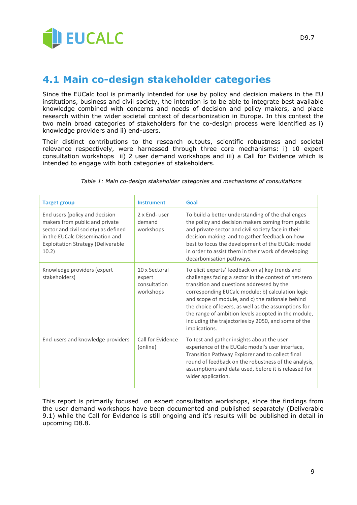

### <span id="page-8-0"></span>**4.1 Main co-design stakeholder categories**

Since the EUCalc tool is primarily intended for use by policy and decision makers in the EU institutions, business and civil society, the intention is to be able to integrate best available knowledge combined with concerns and needs of decision and policy makers, and place research within the wider societal context of decarbonization in Europe. In this context the two main broad categories of stakeholders for the co-design process were identified as i) knowledge providers and ii) end-users.

Their distinct contributions to the research outputs, scientific robustness and societal relevance respectively, were harnessed through three core mechanisms: i) 10 expert consultation workshops ii) 2 user demand workshops and iii) a Call for Evidence which is intended to engage with both categories of stakeholders.

| <b>Target group</b>                                                                                                                                                                               | <b>Instrument</b>                                    | Goal                                                                                                                                                                                                                                                                                                                                                                                                                                                   |
|---------------------------------------------------------------------------------------------------------------------------------------------------------------------------------------------------|------------------------------------------------------|--------------------------------------------------------------------------------------------------------------------------------------------------------------------------------------------------------------------------------------------------------------------------------------------------------------------------------------------------------------------------------------------------------------------------------------------------------|
| End users (policy and decision<br>makers from public and private<br>sector and civil society) as defined<br>in the EUCalc Dissemination and<br><b>Exploitation Strategy (Deliverable</b><br>10.2) | 2 x End- user<br>demand<br>workshops                 | To build a better understanding of the challenges<br>the policy and decision makers coming from public<br>and private sector and civil society face in their<br>decision making and to gather feedback on how<br>best to focus the development of the EUCalc model<br>in order to assist them in their work of developing<br>decarbonisation pathways.                                                                                                 |
| Knowledge providers (expert<br>stakeholders)                                                                                                                                                      | 10 x Sectoral<br>expert<br>consultation<br>workshops | To elicit experts' feedback on a) key trends and<br>challenges facing a sector in the context of net-zero<br>transition and questions addressed by the<br>corresponding EUCalc module; b) calculation logic<br>and scope of module, and c) the rationale behind<br>the choice of levers, as well as the assumptions for<br>the range of ambition levels adopted in the module,<br>including the trajectories by 2050, and some of the<br>implications. |
| End-users and knowledge providers                                                                                                                                                                 | Call for Evidence<br>(online)                        | To test and gather insights about the user<br>experience of the EUCalc model's user interface,<br>Transition Pathway Explorer and to collect final<br>round of feedback on the robustness of the analysis,<br>assumptions and data used, before it is released for<br>wider application.                                                                                                                                                               |

*Table 1: Main co-design stakeholder categories and mechanisms of consultations*

This report is primarily focused on expert consultation workshops, since the findings from the user demand workshops have been documented and published separately (Deliverable 9.1) while the Call for Evidence is still ongoing and it's results will be published in detail in upcoming D8.8.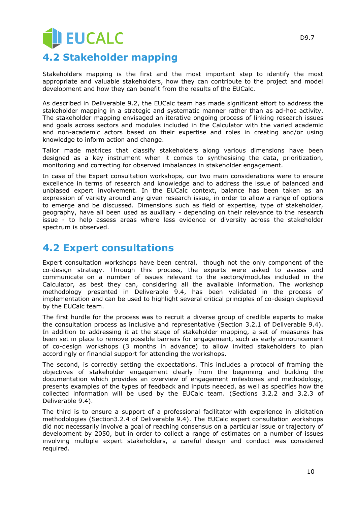# **JEUCALC 4.2 Stakeholder mapping**

<span id="page-9-0"></span>Stakeholders mapping is the first and the most important step to identify the most appropriate and valuable stakeholders, how they can contribute to the project and model development and how they can benefit from the results of the EUCalc.

As described in Deliverable 9.2, the EUCalc team has made significant effort to address the stakeholder mapping in a strategic and systematic manner rather than as ad-hoc activity. The stakeholder mapping envisaged an iterative ongoing process of linking research issues and goals across sectors and modules included in the Calculator with the varied academic and non-academic actors based on their expertise and roles in creating and/or using knowledge to inform action and change.

Tailor made matrices that classify stakeholders along various dimensions have been designed as a key instrument when it comes to synthesising the data, prioritization, monitoring and correcting for observed imbalances in stakeholder engagement.

In case of the Expert consultation workshops, our two main considerations were to ensure excellence in terms of research and knowledge and to address the issue of balanced and unbiased expert involvement. In the EUCalc context, balance has been taken as an expression of variety around any given research issue, in order to allow a range of options to emerge and be discussed. Dimensions such as field of expertise, type of stakeholder, geography, have all been used as auxiliary - depending on their relevance to the research issue - to help assess areas where less evidence or diversity across the stakeholder spectrum is observed.

#### <span id="page-9-1"></span>**4.2 Expert consultations**

Expert consultation workshops have been central, though not the only component of the co-design strategy. Through this process, the experts were asked to assess and communicate on a number of issues relevant to the sectors/modules included in the Calculator, as best they can, considering all the available information. The workshop methodology presented in Deliverable 9.4, has been validated in the process of implementation and can be used to highlight several critical principles of co-design deployed by the EUCalc team.

The first hurdle for the process was to recruit a diverse group of credible experts to make the consultation process as inclusive and representative (Section 3.2.1 of Deliverable 9.4). In addition to addressing it at the stage of stakeholder mapping, a set of measures has been set in place to remove possible barriers for engagement, such as early announcement of co-design workshops (3 months in advance) to allow invited stakeholders to plan accordingly or financial support for attending the workshops.

The second, is correctly setting the expectations. This includes a protocol of framing the objectives of stakeholder engagement clearly from the beginning and building the documentation which provides an overview of engagement milestones and methodology, presents examples of the types of feedback and inputs needed, as well as specifies how the collected information will be used by the EUCalc team. (Sections 3.2.2 and 3.2.3 of Deliverable 9.4).

The third is to ensure a support of a professional facilitator with experience in elicitation methodologies (Section3.2.4 of Deliverable 9.4). The EUCalc expert consultation workshops did not necessarily involve a goal of reaching consensus on a particular issue or trajectory of development by 2050, but in order to collect a range of estimates on a number of issues involving multiple expert stakeholders, a careful design and conduct was considered required.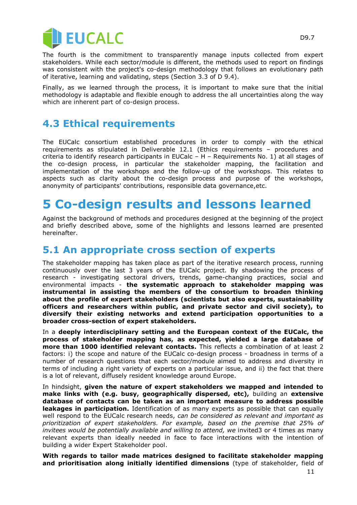

The fourth is the commitment to transparently manage inputs collected from expert stakeholders. While each sector/module is different, the methods used to report on findings was consistent with the project's co-design methodology that follows an evolutionary path of iterative, learning and validating, steps (Section 3.3 of D 9.4).

Finally, as we learned through the process, it is important to make sure that the initial methodology is adaptable and flexible enough to address the all uncertainties along the way which are inherent part of co-design process.

#### <span id="page-10-0"></span>**4.3 Ethical requirements**

The EUCalc consortium established procedures in order to comply with the ethical requirements as stipulated in Deliverable 12.1 (Ethics requirements – procedures and criteria to identify research participants in EUCalc – H – Requirements No. 1) at all stages of the co-design process, in particular the stakeholder mapping, the facilitation and implementation of the workshops and the follow-up of the workshops. This relates to aspects such as clarity about the co-design process and purpose of the workshops, anonymity of participants' contributions, responsible data governance,etc.

### <span id="page-10-1"></span>**5 Co-design results and lessons learned**

Against the background of methods and procedures designed at the beginning of the project and briefly described above, some of the highlights and lessons learned are presented hereinafter.

#### <span id="page-10-2"></span>**5.1 An appropriate cross section of experts**

The stakeholder mapping has taken place as part of the iterative research process, running continuously over the last 3 years of the EUCalc project. By shadowing the process of research - investigating sectoral drivers, trends, game-changing practices, social and environmental impacts - **the systematic approach to stakeholder mapping was instrumental in assisting the members of the consortium to broaden thinking about the profile of expert stakeholders (scientists but also experts, sustainability officers and researchers within public, and private sector and civil society), to diversify their existing networks and extend participation opportunities to a broader cross-section of expert stakeholders.** 

In a **deeply interdisciplinary setting and the European context of the EUCalc, the process of stakeholder mapping has, as expected, yielded a large database of more than 1000 identified relevant contacts.** This reflects a combination of at least 2 factors: i) the scope and nature of the EUCalc co-design process - broadness in terms of a number of research questions that each sector/module aimed to address and diversity in terms of including a right variety of experts on a particular issue, and ii) the fact that there is a lot of relevant, diffusely resident knowledge around Europe.

In hindsight, **given the nature of expert stakeholders we mapped and intended to make links with (e.g. busy, geographically dispersed, etc),** building an **extensive database of contacts can be taken as an important measure to address possible leakages in participation.** Identification of as many experts as possible that can equally well respond to the EUCalc research needs, *can be considered as relevant and important as prioritization of expert stakeholders. For example, based on the premise that 25% of invitees would be potentially available and willing to attend, we invited3 or 4 times as many* relevant experts than ideally needed in face to face interactions with the intention of building a wider Expert Stakeholder pool.

**With regards to tailor made matrices designed to facilitate stakeholder mapping and prioritisation along initially identified dimensions** (type of stakeholder, field of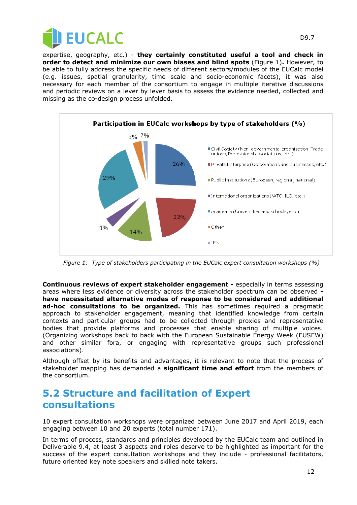



*Figure 1: Type of stakeholders participating in the EUCalc expert consultation workshops (%)*

**Continuous reviews of expert stakeholder engagement -** especially in terms assessing areas where less evidence or diversity across the stakeholder spectrum can be observed  **have necessitated alternative modes of response to be considered and additional ad-hoc consultations to be organized.** This has sometimes required a pragmatic approach to stakeholder engagement, meaning that identified knowledge from certain contexts and particular groups had to be collected through proxies and representative bodies that provide platforms and processes that enable sharing of multiple voices. (Organizing workshops back to back with the European Sustainable Energy Week (EUSEW) and other similar fora, or engaging with representative groups such professional associations).

Although offset by its benefits and advantages, it is relevant to note that the process of stakeholder mapping has demanded a **significant time and effort** from the members of the consortium.

#### <span id="page-11-0"></span>**5.2 Structure and facilitation of Expert consultations**

10 expert consultation workshops were organized between June 2017 and April 2019, each engaging between 10 and 20 experts (total number 171).

In terms of process, standards and principles developed by the EUCalc team and outlined in Deliverable 9.4, at least 3 aspects and roles deserve to be highlighted as important for the success of the expert consultation workshops and they include - professional facilitators, future oriented key note speakers and skilled note takers.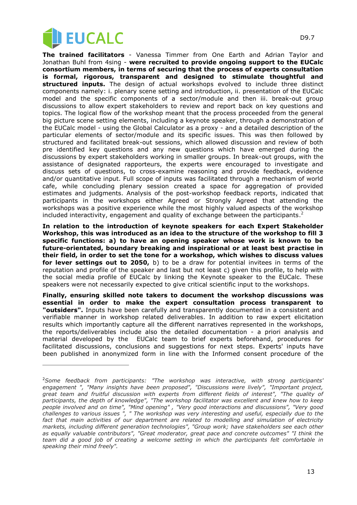

i,

**The trained facilitators** - Vanessa Timmer from One Earth and Adrian Taylor and Jonathan Buhl from 4sing - **were recruited to provide ongoing support to the EUCalc consortium members, in terms of securing that the process of experts consultation is formal, rigorous, transparent and designed to stimulate thoughtful and structured inputs.** The design of actual workshops evolved to include three distinct components namely: i. plenary scene setting and introduction, ii. presentation of the EUCalc model and the specific components of a sector/module and then iii. break-out group discussions to allow expert stakeholders to review and report back on key questions and topics. The logical flow of the workshop meant that the process proceeded from the general big picture scene setting elements, including a keynote speaker, through a demonstration of the EUCalc model - using the Global Calculator as a proxy - and a detailed description of the particular elements of sector/module and its specific issues. This was then followed by structured and facilitated break-out sessions, which allowed discussion and review of both pre identified key questions and any new questions which have emerged during the discussions by expert stakeholders working in smaller groups. In break-out groups, with the assistance of designated rapporteurs, the experts were encouraged to investigate and discuss sets of questions, to cross-examine reasoning and provide feedback, evidence and/or quantitative input. Full scope of inputs was facilitated through a mechanism of world cafe, while concluding plenary session created a space for aggregation of provided estimates and judgments. Analysis of the post-workshop feedback reports, indicated that participants in the workshops either Agreed or Strongly Agreed that attending the workshops was a positive experience while the most highly valued aspects of the workshop included interactivity, engagement and quality of exchange between the participants.<sup>2</sup>

**In relation to the introduction of keynote speakers for each Expert Stakeholder Workshop, this was introduced as an idea to the structure of the workshop to fill 3 specific functions: a) to have an opening speaker whose work is known to be future-orientated, boundary breaking and inspirational or at least best practise in their field, in order to set the tone for a workshop, which wishes to discuss values for lever settings out to 2050,** b) to be a draw for potential invitees in terms of the reputation and profile of the speaker and last but not least c) given this profile, to help with the social media profile of EUCalc by linking the Keynote speaker to the EUCalc. These speakers were not necessarily expected to give critical scientific input to the workshops.

**Finally, ensuring skilled note takers to document the workshop discussions was essential in order to make the expert consultation process transparent to "outsiders".** Inputs have been carefully and transparently documented in a consistent and verifiable manner in workshop related deliverables. In addition to raw expert elicitation results which importantly capture all the different narratives represented in the workshops, the reports/deliverables include also the detailed documentation - a priori analysis and material developed by the EUCalc team to brief experts beforehand, procedures for facilitated discussions, conclusions and suggestions for next steps. Experts' inputs have been published in anonymized form in line with the Informed consent procedure of the

<sup>2</sup>*Some feedback from participants: "The workshop was interactive, with strong participants' engagement ", "Many insights have been proposed", "Discussions were lively", "Important project, great team and fruitful discussion with experts from different fields of interest", "The quality of participants, the depth of knowledge", "The workshop facilitator was excellent and knew how to keep people involved and on time", "Mind opening" , "Very good interactions and discussions", "Very good challenges to various issues ", " The workshop was very interesting and useful, especially due to the*  fact that main activities of our department are related to modelling and simulation of electricity *markets, including different generation technologies", "Group work; have stakeholders see each other as equally valuable contributors", "Great moderator, great pace and concrete outcomes" "I think the team did a good job of creating a welcome setting in which the participants felt comfortable in speaking their mind freely".*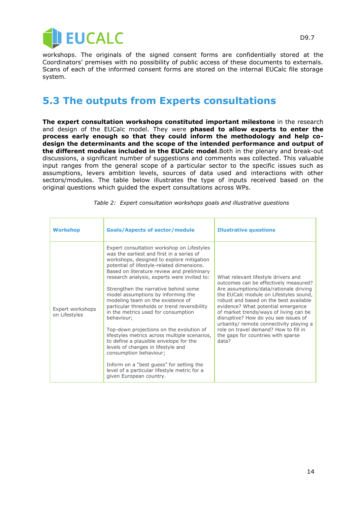

workshops. The originals of the signed consent forms are confidentially stored at the Coordinators' premises with no possibility of public access of these documents to externals. Scans of each of the informed consent forms are stored on the internal EUCalc file storage system.

#### <span id="page-13-0"></span>**5.3 The outputs from Experts consultations**

**The expert consultation workshops constituted important milestone** in the research and design of the EUCalc model. They were **phased to allow experts to enter the process early enough so that they could inform the methodology and help codesign the determinants and the scope of the intended performance and output of the different modules included in the EUCalc model**.Both in the plenary and break-out discussions, a significant number of suggestions and comments was collected. This valuable input ranges from the general scope of a particular sector to the specific issues such as assumptions, levers ambition levels, sources of data used and interactions with other sectors/modules. The table below illustrates the type of inputs received based on the original questions which guided the expert consultations across WPs.

| <b>Workshop</b>                   | <b>Goals/Aspects of sector/module</b>                                                                                                                                                                                                                                                                                                                                                                                                                                                                                                                                                                                                                                                                                                                                                                                                 | <b>Illustrative questions</b>                                                                                                                                                                                                                                                                                                                                                                                                                                         |
|-----------------------------------|---------------------------------------------------------------------------------------------------------------------------------------------------------------------------------------------------------------------------------------------------------------------------------------------------------------------------------------------------------------------------------------------------------------------------------------------------------------------------------------------------------------------------------------------------------------------------------------------------------------------------------------------------------------------------------------------------------------------------------------------------------------------------------------------------------------------------------------|-----------------------------------------------------------------------------------------------------------------------------------------------------------------------------------------------------------------------------------------------------------------------------------------------------------------------------------------------------------------------------------------------------------------------------------------------------------------------|
| Expert workshops<br>on Lifestyles | Expert consultation workshop on Lifestyles<br>was the earliest and first in a series of<br>workshops, designed to explore mitigation<br>potential of lifestyle-related dimensions.<br>Based on literature review and preliminary<br>research analysis, experts were invited to:<br>Strengthen the narrative behind some<br>model assumptions by informing the<br>modeling team on the existence of<br>particular thresholds or trend reversibility<br>in the metrics used for consumption<br>behaviour;<br>Top-down projections on the evolution of<br>lifestyles metrics across multiple scenarios,<br>to define a plausible envelope for the<br>levels of changes in lifestyle and<br>consumption behaviour;<br>Inform on a "best quess" for setting the<br>level of a particular lifestyle metric for a<br>given European country. | What relevant lifestyle drivers and<br>outcomes can be effectively measured?<br>Are assumptions/data/rationale driving<br>the EUCalc module on Lifestyles sound,<br>robust and based on the best available<br>evidence? What potential emergence<br>of market trends/ways of living can be<br>disruptive? How do you see issues of<br>urbanity/ remote connectivity playing a<br>role on travel demand? How to fill in<br>the gaps for countries with sparse<br>data? |

*Table 2: Expert consultation workshops goals and illustrative questions*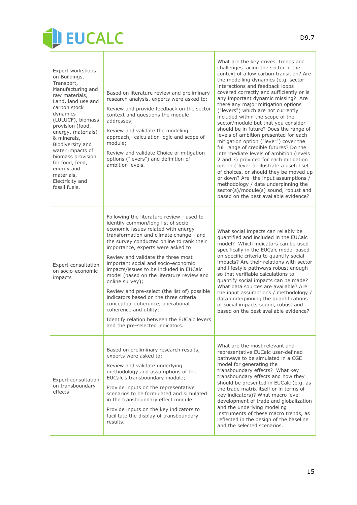

Г

| Expert workshops<br>on Buildings,<br>Transport,<br>Manufacturing and<br>raw materials,<br>Land, land use and<br>carbon stock<br>dynamics<br>(LULUCF), biomass<br>provision (food,<br>energy, materials)<br>& minerals,<br>Biodiversity and<br>water impacts of<br>biomass provision<br>for food, feed,<br>energy and<br>materials,<br>Electricity and<br>fossil fuels. | Based on literature review and preliminary<br>research analysis, experts were asked to:<br>Review and provide feedback on the sector<br>context and questions the module<br>addresses;<br>Review and validate the modeling<br>approach, calculation logic and scope of<br>module;<br>Review and validate Choice of mitigation<br>options ("levers") and definition of<br>ambition levels.                                                                                                                                                                                                                                                                                                 | What are the key drives, trends and<br>challenges facing the sector in the<br>context of a low carbon transition? Are<br>the modelling dynamics (e.g. sector<br>interactions and feedback loops<br>covered correctly and sufficiently or is<br>any important dynamic missing? Are<br>there any major mitigation options<br>("levers") which are not currently<br>included within the scope of the<br>sector/module but that you consider<br>should be in future? Does the range of<br>levels of ambition presented for each<br>mitigation option ("lever") cover the<br>full range of credible futures? Do the<br>intermediate levels of ambition (levels<br>2 and 3) provided for each mitigation<br>option ("lever") illustrate a useful set<br>of choices, or should they be moved up<br>or down? Are the input assumptions /<br>methodology / data underpinning the<br>sector(s)/module(s) sound, robust and<br>based on the best available evidence? |
|------------------------------------------------------------------------------------------------------------------------------------------------------------------------------------------------------------------------------------------------------------------------------------------------------------------------------------------------------------------------|-------------------------------------------------------------------------------------------------------------------------------------------------------------------------------------------------------------------------------------------------------------------------------------------------------------------------------------------------------------------------------------------------------------------------------------------------------------------------------------------------------------------------------------------------------------------------------------------------------------------------------------------------------------------------------------------|-----------------------------------------------------------------------------------------------------------------------------------------------------------------------------------------------------------------------------------------------------------------------------------------------------------------------------------------------------------------------------------------------------------------------------------------------------------------------------------------------------------------------------------------------------------------------------------------------------------------------------------------------------------------------------------------------------------------------------------------------------------------------------------------------------------------------------------------------------------------------------------------------------------------------------------------------------------|
| Expert consultation<br>on socio-economic<br>impacts                                                                                                                                                                                                                                                                                                                    | Following the literature review - used to<br>identify common/long list of socio-<br>economic issues related with energy<br>transformation and climate change - and<br>the survey conducted online to rank their<br>importance, experts were asked to:<br>Review and validate the three most<br>important social and socio-economic<br>impacts/issues to be included in EUCalc<br>model (based on the literature review and<br>online survey);<br>Review and pre-select (the list of) possible<br>indicators based on the three criteria<br>conceptual coherence, operational<br>coherence and utility;<br>Identify relation between the EUCalc levers<br>and the pre-selected indicators. | What social impacts can reliably be<br>quantified and included in the EUCalc<br>model? Which indicators can be used<br>specifically in the EUCalc model based<br>on specific criteria to quantify social<br>impacts? Are their relations with sector<br>and lifestyle pathways robust enough<br>so that verifiable calculations to<br>quantify social impacts can be made?<br>What data sources are available? Are<br>the input assumptions / methodology /<br>data underpinning the quantifications<br>of social impacts sound, robust and<br>based on the best available evidence?                                                                                                                                                                                                                                                                                                                                                                      |
| Expert consultation<br>on transboundary<br>effects                                                                                                                                                                                                                                                                                                                     | Based on preliminary research results,<br>experts were asked to:<br>Review and validate underlying<br>methodology and assumptions of the<br>EUCalc's transboundary module;<br>Provide inputs on the representative<br>scenarios to be formulated and simulated<br>in the transboundary effect module;<br>Provide inputs on the key indicators to<br>facilitate the display of transboundary<br>results.                                                                                                                                                                                                                                                                                   | What are the most relevant and<br>representative EUCalc user-defined<br>pathways to be simulated in a CGE<br>model for generating the<br>transboundary effects? What key<br>transboundary effects and how they<br>should be presented in EUCalc (e.g. as<br>the trade matrix itself or in terms of<br>key indicators)? What macro level<br>development of trade and globalization<br>and the underlying modeling<br>instruments of these macro trends, as<br>reflected in the design of the baseline<br>and the selected scenarios.                                                                                                                                                                                                                                                                                                                                                                                                                       |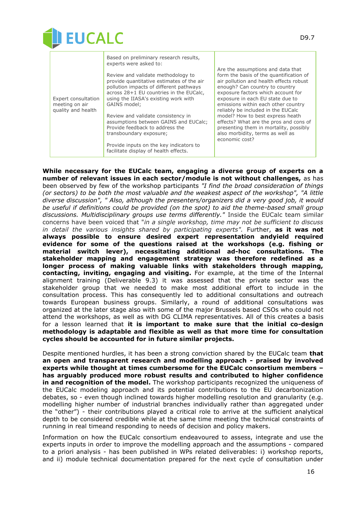

| Review and validate methodology to<br>provide quantitative estimates of the air<br>pollution impacts of different pathways<br>across 28+1 EU countries in the EUCalc,<br>using the IIASA's existing work with<br>Expert consultation<br>GAINS model:<br>meeting on air<br>quality and health<br>Review and validate consistency in<br>assumptions between GAINS and EUCalc;<br>Provide feedback to address the<br>transboundary exposure;<br>economic cost?<br>Provide inputs on the key indicators to<br>facilitate display of health effects. | Are the assumptions and data that<br>form the basis of the quantification of<br>air pollution and health effects robust<br>enough? Can country to country<br>exposure factors which account for<br>exposure in each EU state due to<br>emissions within each other country<br>reliably be included in the EUCalc<br>model? How to best express heath<br>effects? What are the pros and cons of<br>presenting them in mortality, possibly<br>also morbidity, terms as well as |
|-------------------------------------------------------------------------------------------------------------------------------------------------------------------------------------------------------------------------------------------------------------------------------------------------------------------------------------------------------------------------------------------------------------------------------------------------------------------------------------------------------------------------------------------------|------------------------------------------------------------------------------------------------------------------------------------------------------------------------------------------------------------------------------------------------------------------------------------------------------------------------------------------------------------------------------------------------------------------------------------------------------------------------------|
|-------------------------------------------------------------------------------------------------------------------------------------------------------------------------------------------------------------------------------------------------------------------------------------------------------------------------------------------------------------------------------------------------------------------------------------------------------------------------------------------------------------------------------------------------|------------------------------------------------------------------------------------------------------------------------------------------------------------------------------------------------------------------------------------------------------------------------------------------------------------------------------------------------------------------------------------------------------------------------------------------------------------------------------|

**While necessary for the EUCalc team, engaging a diverse group of experts on a number of relevant issues in each sector/module is not without challenges,** as has been observed by few of the workshop participants *"I find the broad consideration of things (or sectors) to be both the most valuable and the weakest aspect of the workshop", "A little diverse discussion", " Also, although the presenters/organizers did a very good job, it would be useful if definitions could be provided (on the spot) to aid the theme-based small group discussions. Multidisciplinary groups use terms differently."* Inside the EUCalc team similar concerns have been voiced that "*in a single workshop, time may not be sufficient to discuss in detail the various insights shared by participating experts".* Further, **as it was not always possible to ensure desired expert representation andyield required evidence for some of the questions raised at the workshops (e.g. fishing or material switch lever), necessitating additional ad-hoc consultations. The stakeholder mapping and engagement strategy was therefore redefined as a longer process of making valuable links with stakeholders through mapping, contacting, inviting, engaging and visiting.** For example, at the time of the Internal alignment training (Deliverable 9.3) it was assessed that the private sector was the stakeholder group that we needed to make most additional effort to include in the consultation process. This has consequently led to additional consultations and outreach towards European business groups. Similarly, a round of additional consultations was organized at the later stage also with some of the major Brussels based CSOs who could not attend the workshops, as well as with DG CLIMA representatives. All of this creates a basis for a lesson learned that **it is important to make sure that the initial co-design methodology is adaptable and flexible as well as that more time for consultation cycles should be accounted for in future similar projects.** 

Despite mentioned hurdles, it has been a strong conviction shared by the EUCalc team **that an open and transparent research and modelling approach - praised by involved experts while thought at times cumbersome for the EUCalc consortium members – has arguably produced more robust results and contributed to higher confidence in and recognition of the model.** The workshop participants recognized the uniqueness of the EUCalc modeling approach and its potential contributions to the EU decarbonization debates, so - even though inclined towards higher modelling resolution and granularity (e.g. modelling higher number of industrial branches individually rather than aggregated under the "other") - their contributions played a critical role to arrive at the sufficient analytical depth to be considered credible while at the same time meeting the technical constraints of running in real timeand responding to needs of decision and policy makers.

Information on how the EUCalc consortium endeavoured to assess, integrate and use the experts inputs in order to improve the modelling approach and the assumptions - compared to a priori analysis - has been published in WPs related deliverables: i) workshop reports, and ii) module technical documentation prepared for the next cycle of consultation under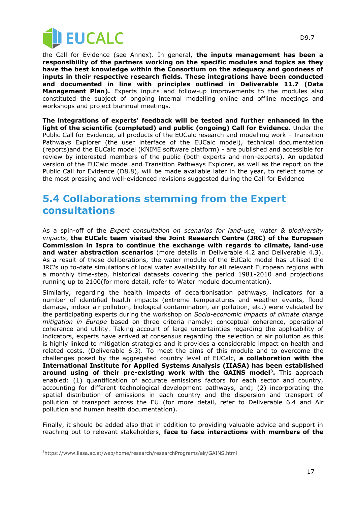

the Call for Evidence (see Annex). In general, **the inputs management has been a responsibility of the partners working on the specific modules and topics as they have the best knowledge within the Consortium on the adequacy and goodness of inputs in their respective research fields. These integrations have been conducted and documented in line with principles outlined in Deliverable 11.7 (Data Management Plan).** Experts inputs and follow-up improvements to the modules also constituted the subject of ongoing internal modelling online and offline meetings and workshops and project biannual meetings.

**The integrations of experts' feedback will be tested and further enhanced in the light of the scientific (completed) and public (ongoing) Call for Evidence.** Under the Public Call for Evidence, all products of the EUCalc research and modelling work - Transition Pathways Explorer (the user interface of the EUCalc model), technical documentation (reports)and the EUCalc model (KNIME software platform) - are published and accessible for review by interested members of the public (both experts and non-experts). An updated version of the EUCalc model and Transition Pathways Explorer, as well as the report on the Public Call for Evidence (D8.8), will be made available later in the year, to reflect some of the most pressing and well-evidenced revisions suggested during the Call for Evidence

#### <span id="page-16-0"></span>**5.4 Collaborations stemming from the Expert consultations**

As a spin-off of the *Expert consultation on scenarios for land-use, water & biodiversity impacts*, **the EUCalc team visited the Joint Research Centre (JRC) of the European Commission in Ispra to continue the exchange with regards to climate, land-use and water abstraction scenarios** (more details in Deliverable 4.2 and Deliverable 4.3). As a result of these deliberations, the water module of the EUCalc model has utilised the JRC's up to-date simulations of local water availability for all relevant European regions with a monthly time-step, historical datasets covering the period 1981-2010 and projections running up to 2100(for more detail, refer to Water module documentation).

Similarly, regarding the health impacts of decarbonisation pathways, indicators for a number of identified health impacts (extreme temperatures and weather events, flood damage, indoor air pollution, biological contamination, air pollution, etc.) were validated by the participating experts during the workshop on *Socio-economic impacts of climate change mitigation in Europe* based on three criteria namely: conceptual coherence, operational coherence and utility. Taking account of large uncertainties regarding the applicability of indicators, experts have arrived at consensus regarding the selection of air pollution as this is highly linked to mitigation strategies and it provides a considerable impact on health and related costs. (Deliverable 6.3). To meet the aims of this module and to overcome the challenges posed by the aggregated country level of EUCalc, **a collaboration with the International Institute for Applied Systems Analysis (IIASA) has been established around using of their pre-existing work with the GAINS model<sup>3</sup> .** This approach enabled: (1) quantification of accurate emissions factors for each sector and country, accounting for different technological development pathways, and; (2) incorporating the spatial distribution of emissions in each country and the dispersion and transport of pollution of transport across the EU (for more detail, refer to Deliverable 6.4 and Air pollution and human health documentation).

Finally, it should be added also that in addition to providing valuable advice and support in reaching out to relevant stakeholders, **face to face interactions with members of the** 

 $\overline{a}$ 

<sup>&</sup>lt;sup>3</sup>https://www.iiasa.ac.at/web/home/research/researchPrograms/air/GAINS.html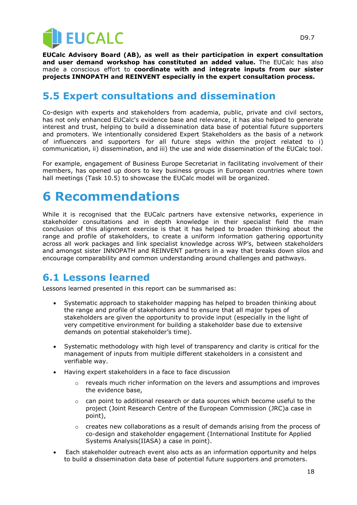

**EUCalc Advisory Board (AB), as well as their participation in expert consultation and user demand workshop has constituted an added value.** The EUCalc has also made a conscious effort to **coordinate with and integrate inputs from our sister projects INNOPATH and REINVENT especially in the expert consultation process.**

#### <span id="page-17-0"></span>**5.5 Expert consultations and dissemination**

Co-design with experts and stakeholders from academia, public, private and civil sectors, has not only enhanced EUCalc's evidence base and relevance, it has also helped to generate interest and trust, helping to build a dissemination data base of potential future supporters and promoters. We intentionally considered Expert Stakeholders as the basis of a network of influencers and supporters for all future steps within the project related to i) communication, ii) dissemination, and iii) the use and wide dissemination of the EUCalc tool.

For example, engagement of Business Europe Secretariat in facilitating involvement of their members, has opened up doors to key business groups in European countries where town hall meetings (Task 10.5) to showcase the EUCalc model will be organized.

### <span id="page-17-1"></span>**6 Recommendations**

While it is recognised that the EUCalc partners have extensive networks, experience in stakeholder consultations and in depth knowledge in their specialist field the main conclusion of this alignment exercise is that it has helped to broaden thinking about the range and profile of stakeholders, to create a uniform information gathering opportunity across all work packages and link specialist knowledge across WP's, between stakeholders and amongst sister INNOPATH and REINVENT partners in a way that breaks down silos and encourage comparability and common understanding around challenges and pathways.

#### <span id="page-17-2"></span>**6.1 Lessons learned**

Lessons learned presented in this report can be summarised as:

- Systematic approach to stakeholder mapping has helped to broaden thinking about the range and profile of stakeholders and to ensure that all major types of stakeholders are given the opportunity to provide input (especially in the light of very competitive environment for building a stakeholder base due to extensive demands on potential stakeholder's time).
- Systematic methodology with high level of transparency and clarity is critical for the management of inputs from multiple different stakeholders in a consistent and verifiable way.
- Having expert stakeholders in a face to face discussion
	- $\circ$  reveals much richer information on the levers and assumptions and improves the evidence base,
	- $\circ$  can point to additional research or data sources which become useful to the project (Joint Research Centre of the European Commission (JRC)a case in point),
	- $\circ$  creates new collaborations as a result of demands arising from the process of co-design and stakeholder engagement (International Institute for Applied Systems Analysis(IIASA) a case in point).
- Each stakeholder outreach event also acts as an information opportunity and helps to build a dissemination data base of potential future supporters and promoters.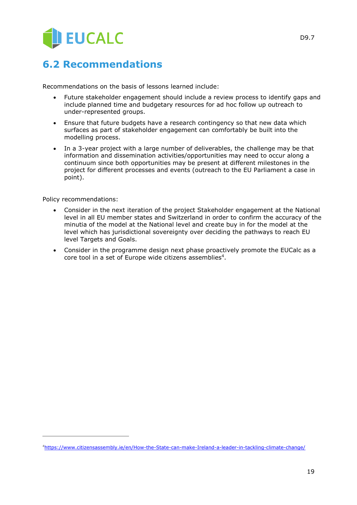

#### <span id="page-18-0"></span>**6.2 Recommendations**

Recommendations on the basis of lessons learned include:

- Future stakeholder engagement should include a review process to identify gaps and include planned time and budgetary resources for ad hoc follow up outreach to under-represented groups.
- Ensure that future budgets have a research contingency so that new data which surfaces as part of stakeholder engagement can comfortably be built into the modelling process.
- In a 3-year project with a large number of deliverables, the challenge may be that information and dissemination activities/opportunities may need to occur along a continuum since both opportunities may be present at different milestones in the project for different processes and events (outreach to the EU Parliament a case in point).

Policy recommendations:

 $\overline{a}$ 

- Consider in the next iteration of the project Stakeholder engagement at the National level in all EU member states and Switzerland in order to confirm the accuracy of the minutia of the model at the National level and create buy in for the model at the level which has jurisdictional sovereignty over deciding the pathways to reach EU level Targets and Goals.
- Consider in the programme design next phase proactively promote the EUCalc as a core tool in a set of Europe wide citizens assemblies<sup>4</sup>.

D9.7

<sup>4</sup><https://www.citizensassembly.ie/en/How-the-State-can-make-Ireland-a-leader-in-tackling-climate-change/>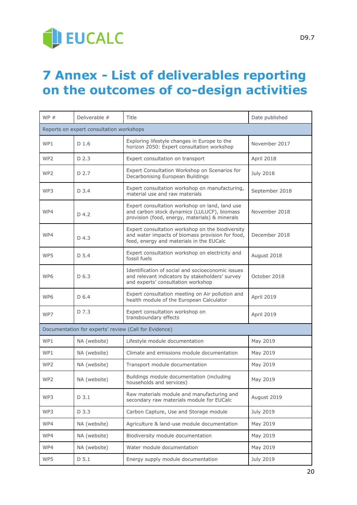

### <span id="page-19-0"></span>**7 Annex - List of deliverables reporting on the outcomes of co-design activities**

| WP#             | Deliverable #                            | Title                                                                                                                                            | Date published    |  |  |
|-----------------|------------------------------------------|--------------------------------------------------------------------------------------------------------------------------------------------------|-------------------|--|--|
|                 | Reports on expert consultation workshops |                                                                                                                                                  |                   |  |  |
| WP1             | D <sub>1.6</sub>                         | Exploring lifestyle changes in Europe to the<br>horizon 2050: Expert consultation workshop                                                       | November 2017     |  |  |
| WP <sub>2</sub> | D 2.3                                    | Expert consultation on transport                                                                                                                 | April 2018        |  |  |
| WP <sub>2</sub> | D 2.7                                    | Expert Consultation Workshop on Scenarios for<br>Decarbonising European Buildings                                                                | <b>July 2018</b>  |  |  |
| WP3             | D 3.4                                    | Expert consultation workshop on manufacturing,<br>material use and raw materials                                                                 | September 2018    |  |  |
| WP4             | D 4.2                                    | Expert consultation workshop on land, land use<br>and carbon stock dynamics (LULUCF), biomass<br>provision (food, energy, materials) & minerals  | November 2018     |  |  |
| WP4             | D <sub>4.3</sub>                         | Expert consultation workshop on the biodiversity<br>and water impacts of biomass provision for food,<br>feed, energy and materials in the EUCalc | December 2018     |  |  |
| WP5             | D 5.4                                    | Expert consultation workshop on electricity and<br>fossil fuels                                                                                  | August 2018       |  |  |
| WP <sub>6</sub> | D 6.3                                    | Identification of social and socioeconomic issues<br>and relevant indicators by stakeholders' survey<br>and experts' consultation workshop       | October 2018      |  |  |
| WP6             | D 6.4                                    | Expert consultation meeting on Air pollution and<br>health module of the European Calculator                                                     | April 2019        |  |  |
| WP7             | D 7.3                                    | Expert consultation workshop on<br>transboundary effects                                                                                         | <b>April 2019</b> |  |  |
|                 |                                          | Documentation for experts' review (Call for Evidence)                                                                                            |                   |  |  |
| WP1             | NA (website)                             | Lifestyle module documentation                                                                                                                   | May 2019          |  |  |
| WP1             | NA (website)                             | Climate and emissions module documentation                                                                                                       | May 2019          |  |  |
| WP <sub>2</sub> | NA (website)                             | Transport module documentation                                                                                                                   | May 2019          |  |  |
| WP2             | NA (website)                             | Buildings module documentation (including<br>households and services)                                                                            | May 2019          |  |  |
| WP3             | D 3.1                                    | Raw materials module and manufacturing and<br>secondary raw materials module for EUCalc                                                          | August 2019       |  |  |
| WP3             | D 3.3                                    | Carbon Capture, Use and Storage module                                                                                                           | July 2019         |  |  |
| WP4             | NA (website)                             | Agriculture & land-use module documentation                                                                                                      | May 2019          |  |  |
| WP4             | NA (website)                             | Biodiversity module documentation                                                                                                                | May 2019          |  |  |
| WP4             | NA (website)                             | Water module documentation                                                                                                                       | May 2019          |  |  |
| WP5             | D <sub>5.1</sub>                         | Energy supply module documentation                                                                                                               | July 2019         |  |  |